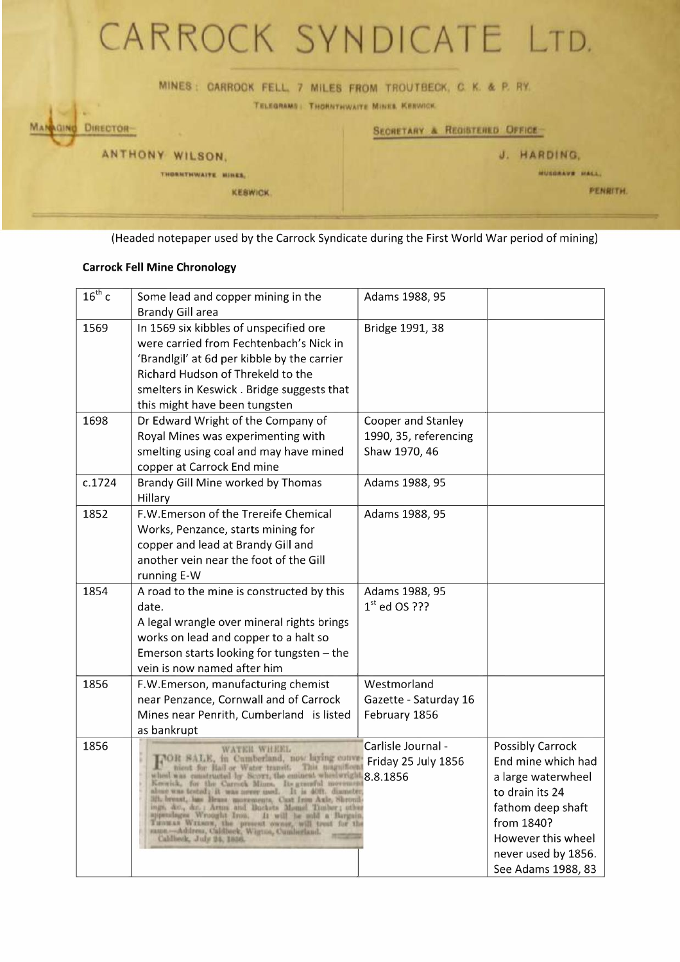

(Headed notepaper used by the Carrock Syndicate during the First World War period of mining)

## **Carrock Fell Mine Chronology**

| $16^{th}$ c | Some lead and copper mining in the                                                                                                                                                                                                                                                                                                                                                                                                                                                                                                                                                                         | Adams 1988, 95                                               |                                                                                                                                                                                              |
|-------------|------------------------------------------------------------------------------------------------------------------------------------------------------------------------------------------------------------------------------------------------------------------------------------------------------------------------------------------------------------------------------------------------------------------------------------------------------------------------------------------------------------------------------------------------------------------------------------------------------------|--------------------------------------------------------------|----------------------------------------------------------------------------------------------------------------------------------------------------------------------------------------------|
| 1569        | <b>Brandy Gill area</b><br>In 1569 six kibbles of unspecified ore<br>were carried from Fechtenbach's Nick in<br>'Brandlgil' at 6d per kibble by the carrier<br>Richard Hudson of Threkeld to the                                                                                                                                                                                                                                                                                                                                                                                                           | Bridge 1991, 38                                              |                                                                                                                                                                                              |
|             | smelters in Keswick. Bridge suggests that<br>this might have been tungsten                                                                                                                                                                                                                                                                                                                                                                                                                                                                                                                                 |                                                              |                                                                                                                                                                                              |
| 1698        | Dr Edward Wright of the Company of<br>Royal Mines was experimenting with<br>smelting using coal and may have mined<br>copper at Carrock End mine                                                                                                                                                                                                                                                                                                                                                                                                                                                           | Cooper and Stanley<br>1990, 35, referencing<br>Shaw 1970, 46 |                                                                                                                                                                                              |
| c.1724      | Brandy Gill Mine worked by Thomas<br>Hillary                                                                                                                                                                                                                                                                                                                                                                                                                                                                                                                                                               | Adams 1988, 95                                               |                                                                                                                                                                                              |
| 1852        | F.W.Emerson of the Trereife Chemical<br>Works, Penzance, starts mining for<br>copper and lead at Brandy Gill and<br>another vein near the foot of the Gill<br>running E-W                                                                                                                                                                                                                                                                                                                                                                                                                                  | Adams 1988, 95                                               |                                                                                                                                                                                              |
| 1854        | A road to the mine is constructed by this<br>date.<br>A legal wrangle over mineral rights brings<br>works on lead and copper to a halt so<br>Emerson starts looking for tungsten - the<br>vein is now named after him                                                                                                                                                                                                                                                                                                                                                                                      | Adams 1988, 95<br>$1st$ ed OS ???                            |                                                                                                                                                                                              |
| 1856        | F.W.Emerson, manufacturing chemist<br>near Penzance, Cornwall and of Carrock<br>Mines near Penrith, Cumberland is listed<br>as bankrupt                                                                                                                                                                                                                                                                                                                                                                                                                                                                    | Westmorland<br>Gazette - Saturday 16<br>February 1856        |                                                                                                                                                                                              |
| 1856        | WATER WHEEL<br>FOR SALE, in Camberland, now laying conve-<br>nient for Hail or Water transit.<br>This magnificen<br>wheel was canatructed by Scorr, the eminent wheelwright, Keewick, for the Careed Mines. Its granded movement<br>abuse was tested; it was never used. It is 40ft. diameter<br>321, breast, has Brass movements, Cast Iron Axle, Shroud<br>ings, &c., &c. Arms and Backets Mound Timber; other<br>appendages Wrooght Iron. It will be sold a Bargain.<br>Tunnas Witson, the present owner, will treat for the same .- Address, Caldbeck, Wignan, Cumberland.<br>Caldbeck, July 24, 1836. | Carlisle Journal -<br>Friday 25 July 1856<br>8.8.1856        | <b>Possibly Carrock</b><br>End mine which had<br>a large waterwheel<br>to drain its 24<br>fathom deep shaft<br>from 1840?<br>However this wheel<br>never used by 1856.<br>See Adams 1988, 83 |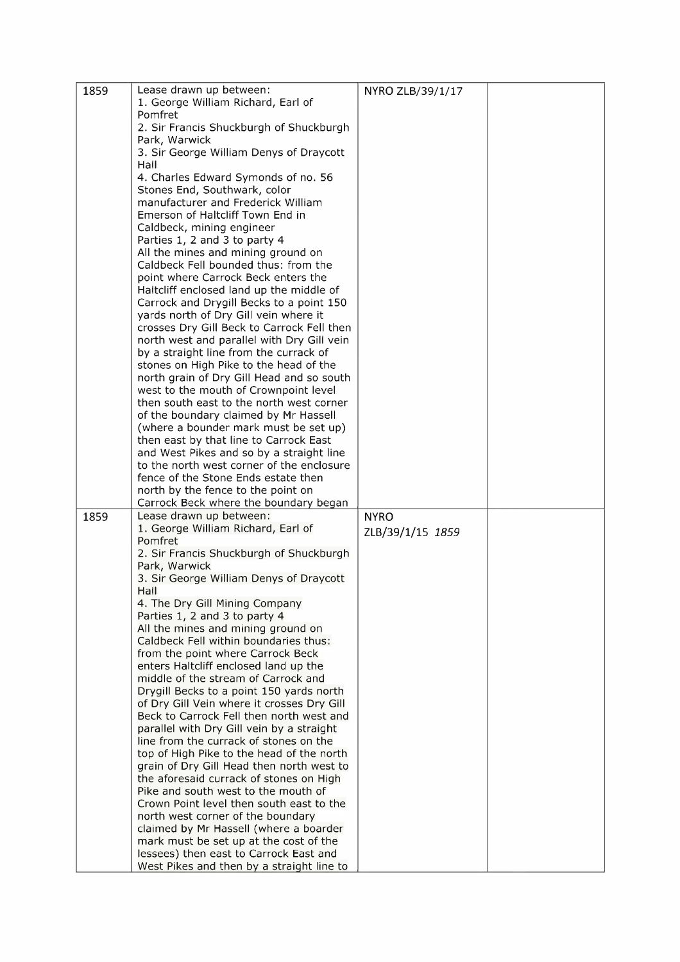| 1859 | Lease drawn up between:                                                             | NYRO ZLB/39/1/17 |  |
|------|-------------------------------------------------------------------------------------|------------------|--|
|      | 1. George William Richard, Earl of                                                  |                  |  |
|      | Pomfret                                                                             |                  |  |
|      | 2. Sir Francis Shuckburgh of Shuckburgh                                             |                  |  |
|      | Park, Warwick                                                                       |                  |  |
|      | 3. Sir George William Denys of Draycott                                             |                  |  |
|      | Hall                                                                                |                  |  |
|      | 4. Charles Edward Symonds of no. 56                                                 |                  |  |
|      |                                                                                     |                  |  |
|      | Stones End, Southwark, color                                                        |                  |  |
|      | manufacturer and Frederick William                                                  |                  |  |
|      | Emerson of Haltcliff Town End in                                                    |                  |  |
|      | Caldbeck, mining engineer                                                           |                  |  |
|      | Parties 1, 2 and 3 to party 4                                                       |                  |  |
|      | All the mines and mining ground on                                                  |                  |  |
|      | Caldbeck Fell bounded thus: from the                                                |                  |  |
|      | point where Carrock Beck enters the                                                 |                  |  |
|      | Haltcliff enclosed land up the middle of                                            |                  |  |
|      | Carrock and Drygill Becks to a point 150                                            |                  |  |
|      | yards north of Dry Gill vein where it                                               |                  |  |
|      | crosses Dry Gill Beck to Carrock Fell then                                          |                  |  |
|      | north west and parallel with Dry Gill vein                                          |                  |  |
|      | by a straight line from the currack of                                              |                  |  |
|      | stones on High Pike to the head of the                                              |                  |  |
|      | north grain of Dry Gill Head and so south                                           |                  |  |
|      | west to the mouth of Crownpoint level                                               |                  |  |
|      | then south east to the north west corner                                            |                  |  |
|      | of the boundary claimed by Mr Hassell                                               |                  |  |
|      | (where a bounder mark must be set up)                                               |                  |  |
|      | then east by that line to Carrock East                                              |                  |  |
|      | and West Pikes and so by a straight line                                            |                  |  |
|      |                                                                                     |                  |  |
|      | to the north west corner of the enclosure                                           |                  |  |
|      | fence of the Stone Ends estate then                                                 |                  |  |
|      |                                                                                     |                  |  |
|      | north by the fence to the point on                                                  |                  |  |
|      | Carrock Beck where the boundary began                                               |                  |  |
| 1859 | Lease drawn up between:                                                             | <b>NYRO</b>      |  |
|      | 1. George William Richard, Earl of                                                  | ZLB/39/1/15 1859 |  |
|      | Pomfret                                                                             |                  |  |
|      | 2. Sir Francis Shuckburgh of Shuckburgh                                             |                  |  |
|      | Park, Warwick                                                                       |                  |  |
|      | 3. Sir George William Denys of Draycott                                             |                  |  |
|      | Hall                                                                                |                  |  |
|      | 4. The Dry Gill Mining Company                                                      |                  |  |
|      | Parties 1, 2 and 3 to party 4                                                       |                  |  |
|      | All the mines and mining ground on                                                  |                  |  |
|      | Caldbeck Fell within boundaries thus:                                               |                  |  |
|      | from the point where Carrock Beck                                                   |                  |  |
|      | enters Haltcliff enclosed land up the                                               |                  |  |
|      | middle of the stream of Carrock and                                                 |                  |  |
|      | Drygill Becks to a point 150 yards north                                            |                  |  |
|      | of Dry Gill Vein where it crosses Dry Gill                                          |                  |  |
|      | Beck to Carrock Fell then north west and                                            |                  |  |
|      |                                                                                     |                  |  |
|      | parallel with Dry Gill vein by a straight                                           |                  |  |
|      | line from the currack of stones on the                                              |                  |  |
|      | top of High Pike to the head of the north                                           |                  |  |
|      | grain of Dry Gill Head then north west to                                           |                  |  |
|      | the aforesaid currack of stones on High                                             |                  |  |
|      | Pike and south west to the mouth of                                                 |                  |  |
|      | Crown Point level then south east to the                                            |                  |  |
|      | north west corner of the boundary                                                   |                  |  |
|      | claimed by Mr Hassell (where a boarder                                              |                  |  |
|      | mark must be set up at the cost of the                                              |                  |  |
|      | lessees) then east to Carrock East and<br>West Pikes and then by a straight line to |                  |  |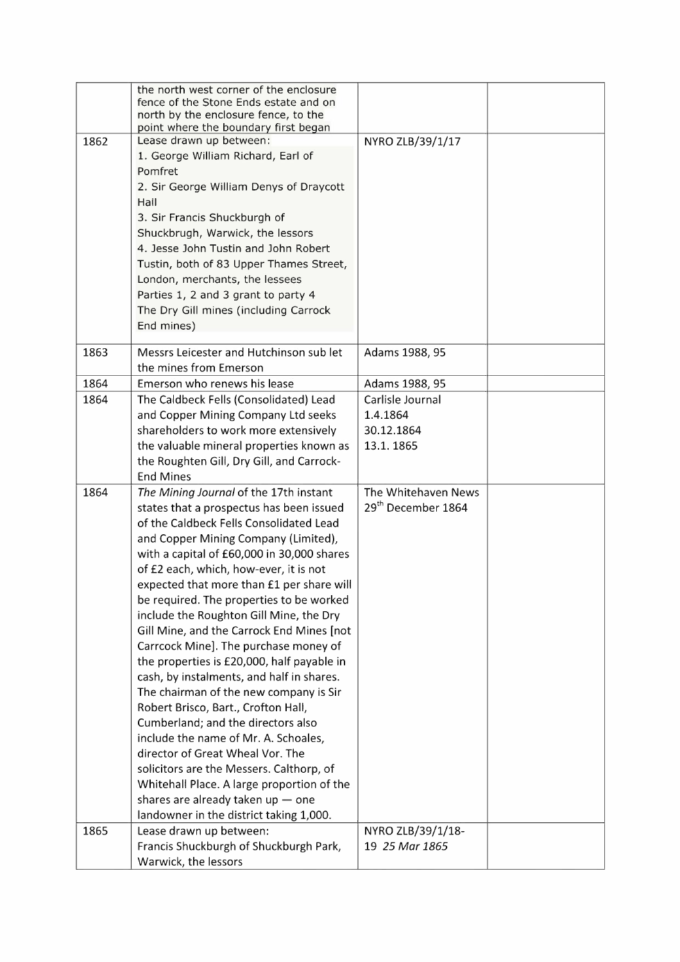|              | the north west corner of the enclosure<br>fence of the Stone Ends estate and on<br>north by the enclosure fence, to the<br>point where the boundary first began |                                    |  |
|--------------|-----------------------------------------------------------------------------------------------------------------------------------------------------------------|------------------------------------|--|
| 1862         | Lease drawn up between:<br>1. George William Richard, Earl of                                                                                                   | NYRO ZLB/39/1/17                   |  |
|              | Pomfret                                                                                                                                                         |                                    |  |
|              | 2. Sir George William Denys of Draycott                                                                                                                         |                                    |  |
|              | Hall                                                                                                                                                            |                                    |  |
|              | 3. Sir Francis Shuckburgh of                                                                                                                                    |                                    |  |
|              | Shuckbrugh, Warwick, the lessors<br>4. Jesse John Tustin and John Robert                                                                                        |                                    |  |
|              |                                                                                                                                                                 |                                    |  |
|              | Tustin, both of 83 Upper Thames Street,<br>London, merchants, the lessees                                                                                       |                                    |  |
|              | Parties 1, 2 and 3 grant to party 4                                                                                                                             |                                    |  |
|              | The Dry Gill mines (including Carrock                                                                                                                           |                                    |  |
|              | End mines)                                                                                                                                                      |                                    |  |
|              |                                                                                                                                                                 |                                    |  |
| 1863         | Messrs Leicester and Hutchinson sub let                                                                                                                         | Adams 1988, 95                     |  |
|              | the mines from Emerson                                                                                                                                          |                                    |  |
| 1864<br>1864 | Emerson who renews his lease<br>The Caldbeck Fells (Consolidated) Lead                                                                                          | Adams 1988, 95<br>Carlisle Journal |  |
|              | and Copper Mining Company Ltd seeks                                                                                                                             | 1.4.1864                           |  |
|              | shareholders to work more extensively                                                                                                                           | 30.12.1864                         |  |
|              | the valuable mineral properties known as                                                                                                                        | 13.1.1865                          |  |
|              | the Roughten Gill, Dry Gill, and Carrock-                                                                                                                       |                                    |  |
|              | <b>End Mines</b>                                                                                                                                                |                                    |  |
| 1864         | The Mining Journal of the 17th instant                                                                                                                          | The Whitehaven News                |  |
|              | states that a prospectus has been issued                                                                                                                        | 29 <sup>th</sup> December 1864     |  |
|              | of the Caldbeck Fells Consolidated Lead                                                                                                                         |                                    |  |
|              | and Copper Mining Company (Limited),                                                                                                                            |                                    |  |
|              | with a capital of £60,000 in 30,000 shares                                                                                                                      |                                    |  |
|              | of £2 each, which, how-ever, it is not                                                                                                                          |                                    |  |
|              | expected that more than £1 per share will<br>be required. The properties to be worked                                                                           |                                    |  |
|              | include the Roughton Gill Mine, the Dry                                                                                                                         |                                    |  |
|              | Gill Mine, and the Carrock End Mines [not                                                                                                                       |                                    |  |
|              | Carrcock Mine]. The purchase money of                                                                                                                           |                                    |  |
|              | the properties is £20,000, half payable in                                                                                                                      |                                    |  |
|              | cash, by instalments, and half in shares.                                                                                                                       |                                    |  |
|              | The chairman of the new company is Sir                                                                                                                          |                                    |  |
|              | Robert Brisco, Bart., Crofton Hall,                                                                                                                             |                                    |  |
|              | Cumberland; and the directors also                                                                                                                              |                                    |  |
|              | include the name of Mr. A. Schoales,                                                                                                                            |                                    |  |
|              | director of Great Wheal Vor. The                                                                                                                                |                                    |  |
|              | solicitors are the Messers. Calthorp, of                                                                                                                        |                                    |  |
|              | Whitehall Place. A large proportion of the                                                                                                                      |                                    |  |
|              | shares are already taken up $-$ one<br>landowner in the district taking 1,000.                                                                                  |                                    |  |
| 1865         | Lease drawn up between:                                                                                                                                         | NYRO ZLB/39/1/18-                  |  |
|              | Francis Shuckburgh of Shuckburgh Park,                                                                                                                          | 19 25 Mar 1865                     |  |
|              | Warwick, the lessors                                                                                                                                            |                                    |  |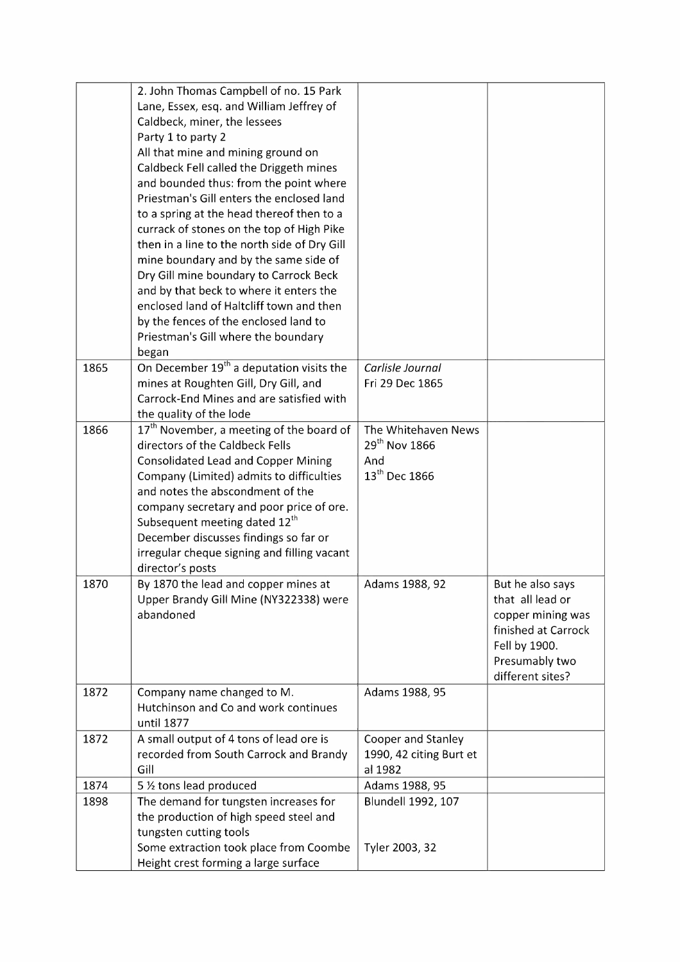|              | the production of high speed steel and<br>tungsten cutting tools<br>Some extraction took place from Coombe<br>Height crest forming a large surface                                                                                                                                                                                                                                                                                                                                                                                                                                                                                                                                                                            | Tyler 2003, 32                                                |                                                                                                                                         |
|--------------|-------------------------------------------------------------------------------------------------------------------------------------------------------------------------------------------------------------------------------------------------------------------------------------------------------------------------------------------------------------------------------------------------------------------------------------------------------------------------------------------------------------------------------------------------------------------------------------------------------------------------------------------------------------------------------------------------------------------------------|---------------------------------------------------------------|-----------------------------------------------------------------------------------------------------------------------------------------|
| 1898         | The demand for tungsten increases for                                                                                                                                                                                                                                                                                                                                                                                                                                                                                                                                                                                                                                                                                         | <b>Blundell 1992, 107</b>                                     |                                                                                                                                         |
| 1874         | 5 1/2 tons lead produced                                                                                                                                                                                                                                                                                                                                                                                                                                                                                                                                                                                                                                                                                                      | Adams 1988, 95                                                |                                                                                                                                         |
| 1872         | A small output of 4 tons of lead ore is<br>recorded from South Carrock and Brandy<br>Gill                                                                                                                                                                                                                                                                                                                                                                                                                                                                                                                                                                                                                                     | Cooper and Stanley<br>1990, 42 citing Burt et<br>al 1982      |                                                                                                                                         |
| 1872         | Company name changed to M.<br>Hutchinson and Co and work continues<br>until 1877                                                                                                                                                                                                                                                                                                                                                                                                                                                                                                                                                                                                                                              | Adams 1988, 95                                                |                                                                                                                                         |
| 1870         | By 1870 the lead and copper mines at<br>Upper Brandy Gill Mine (NY322338) were<br>abandoned                                                                                                                                                                                                                                                                                                                                                                                                                                                                                                                                                                                                                                   | Adams 1988, 92                                                | But he also says<br>that all lead or<br>copper mining was<br>finished at Carrock<br>Fell by 1900.<br>Presumably two<br>different sites? |
|              | directors of the Caldbeck Fells<br><b>Consolidated Lead and Copper Mining</b><br>Company (Limited) admits to difficulties<br>and notes the abscondment of the<br>company secretary and poor price of ore.<br>Subsequent meeting dated 12 <sup>th</sup><br>December discusses findings so far or<br>irregular cheque signing and filling vacant<br>director's posts                                                                                                                                                                                                                                                                                                                                                            | 29 <sup>th</sup> Nov 1866<br>And<br>13 <sup>th</sup> Dec 1866 |                                                                                                                                         |
| 1865<br>1866 | On December 19 <sup>th</sup> a deputation visits the<br>mines at Roughten Gill, Dry Gill, and<br>Carrock-End Mines and are satisfied with<br>the quality of the lode<br>$17th$ November, a meeting of the board of                                                                                                                                                                                                                                                                                                                                                                                                                                                                                                            | Carlisle Journal<br>Fri 29 Dec 1865<br>The Whitehaven News    |                                                                                                                                         |
|              | 2. John Thomas Campbell of no. 15 Park<br>Lane, Essex, esq. and William Jeffrey of<br>Caldbeck, miner, the lessees<br>Party 1 to party 2<br>All that mine and mining ground on<br>Caldbeck Fell called the Driggeth mines<br>and bounded thus: from the point where<br>Priestman's Gill enters the enclosed land<br>to a spring at the head thereof then to a<br>currack of stones on the top of High Pike<br>then in a line to the north side of Dry Gill<br>mine boundary and by the same side of<br>Dry Gill mine boundary to Carrock Beck<br>and by that beck to where it enters the<br>enclosed land of Haltcliff town and then<br>by the fences of the enclosed land to<br>Priestman's Gill where the boundary<br>began |                                                               |                                                                                                                                         |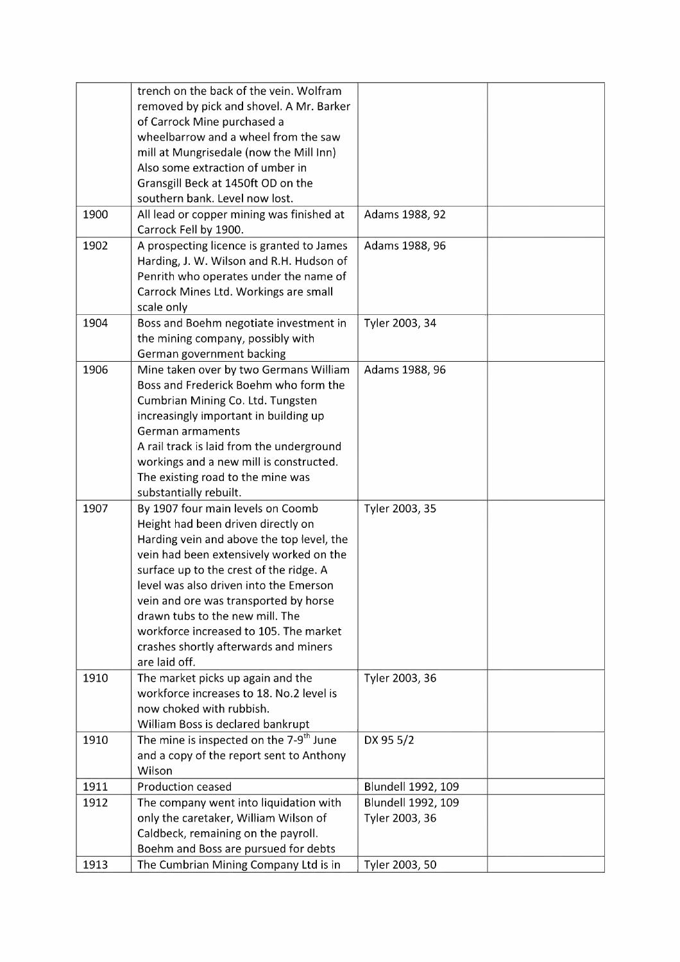|      | trench on the back of the vein. Wolfram<br>removed by pick and shovel. A Mr. Barker<br>of Carrock Mine purchased a<br>wheelbarrow and a wheel from the saw<br>mill at Mungrisedale (now the Mill Inn)<br>Also some extraction of umber in<br>Gransgill Beck at 1450ft OD on the<br>southern bank. Level now lost.                                                                                                                    |                                             |  |
|------|--------------------------------------------------------------------------------------------------------------------------------------------------------------------------------------------------------------------------------------------------------------------------------------------------------------------------------------------------------------------------------------------------------------------------------------|---------------------------------------------|--|
| 1900 | All lead or copper mining was finished at<br>Carrock Fell by 1900.                                                                                                                                                                                                                                                                                                                                                                   | Adams 1988, 92                              |  |
| 1902 | A prospecting licence is granted to James<br>Harding, J. W. Wilson and R.H. Hudson of<br>Penrith who operates under the name of<br>Carrock Mines Ltd. Workings are small<br>scale only                                                                                                                                                                                                                                               | Adams 1988, 96                              |  |
| 1904 | Boss and Boehm negotiate investment in<br>the mining company, possibly with<br>German government backing                                                                                                                                                                                                                                                                                                                             | Tyler 2003, 34                              |  |
| 1906 | Mine taken over by two Germans William<br>Boss and Frederick Boehm who form the<br>Cumbrian Mining Co. Ltd. Tungsten<br>increasingly important in building up<br>German armaments<br>A rail track is laid from the underground<br>workings and a new mill is constructed.<br>The existing road to the mine was<br>substantially rebuilt.                                                                                             | Adams 1988, 96                              |  |
| 1907 | By 1907 four main levels on Coomb<br>Height had been driven directly on<br>Harding vein and above the top level, the<br>vein had been extensively worked on the<br>surface up to the crest of the ridge. A<br>level was also driven into the Emerson<br>vein and ore was transported by horse<br>drawn tubs to the new mill. The<br>workforce increased to 105. The market<br>crashes shortly afterwards and miners<br>are laid off. | Tyler 2003, 35                              |  |
| 1910 | The market picks up again and the<br>workforce increases to 18. No.2 level is<br>now choked with rubbish.<br>William Boss is declared bankrupt                                                                                                                                                                                                                                                                                       | Tyler 2003, 36                              |  |
| 1910 | The mine is inspected on the 7-9 <sup>th</sup> June<br>and a copy of the report sent to Anthony<br>Wilson                                                                                                                                                                                                                                                                                                                            | DX 95 5/2                                   |  |
| 1911 | <b>Production ceased</b>                                                                                                                                                                                                                                                                                                                                                                                                             | <b>Blundell 1992, 109</b>                   |  |
| 1912 | The company went into liquidation with<br>only the caretaker, William Wilson of<br>Caldbeck, remaining on the payroll.<br>Boehm and Boss are pursued for debts                                                                                                                                                                                                                                                                       | <b>Blundell 1992, 109</b><br>Tyler 2003, 36 |  |
| 1913 | The Cumbrian Mining Company Ltd is in                                                                                                                                                                                                                                                                                                                                                                                                | Tyler 2003, 50                              |  |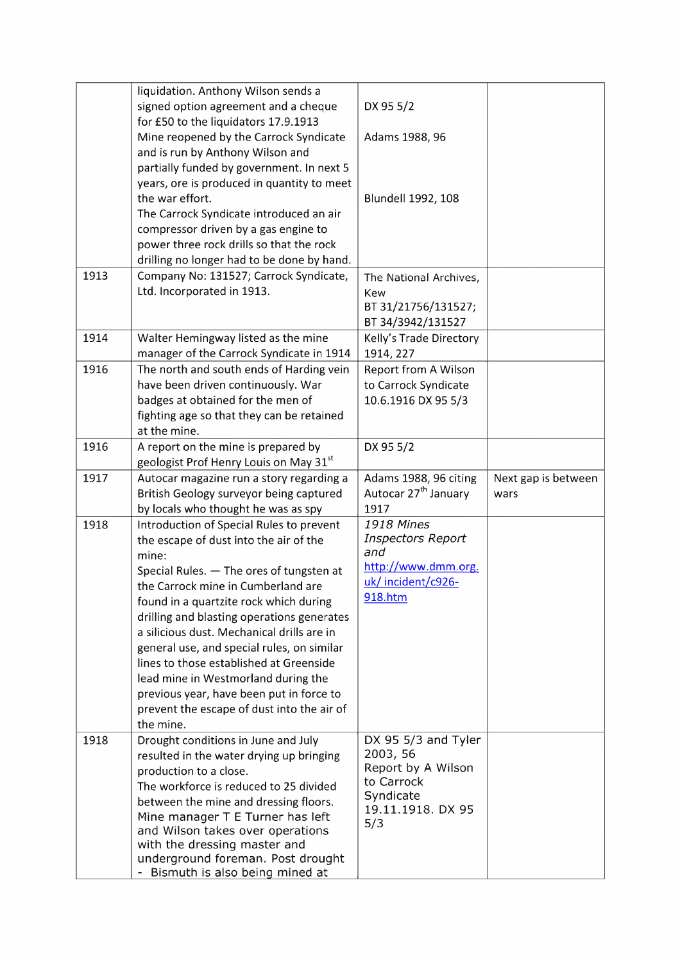|      | liquidation. Anthony Wilson sends a                               |                                  |                     |
|------|-------------------------------------------------------------------|----------------------------------|---------------------|
|      | signed option agreement and a cheque                              | DX 95 5/2                        |                     |
|      | for £50 to the liquidators 17.9.1913                              |                                  |                     |
|      | Mine reopened by the Carrock Syndicate                            | Adams 1988, 96                   |                     |
|      | and is run by Anthony Wilson and                                  |                                  |                     |
|      | partially funded by government. In next 5                         |                                  |                     |
|      | years, ore is produced in quantity to meet                        |                                  |                     |
|      | the war effort.                                                   | <b>Blundell 1992, 108</b>        |                     |
|      | The Carrock Syndicate introduced an air                           |                                  |                     |
|      |                                                                   |                                  |                     |
|      | compressor driven by a gas engine to                              |                                  |                     |
|      | power three rock drills so that the rock                          |                                  |                     |
|      | drilling no longer had to be done by hand.                        |                                  |                     |
| 1913 | Company No: 131527; Carrock Syndicate,                            | The National Archives,           |                     |
|      | Ltd. Incorporated in 1913.                                        | Kew                              |                     |
|      |                                                                   | BT 31/21756/131527;              |                     |
|      |                                                                   | BT 34/3942/131527                |                     |
| 1914 | Walter Hemingway listed as the mine                               | Kelly's Trade Directory          |                     |
|      | manager of the Carrock Syndicate in 1914                          | 1914, 227                        |                     |
| 1916 | The north and south ends of Harding vein                          | Report from A Wilson             |                     |
|      | have been driven continuously. War                                | to Carrock Syndicate             |                     |
|      | badges at obtained for the men of                                 | 10.6.1916 DX 95 5/3              |                     |
|      | fighting age so that they can be retained                         |                                  |                     |
|      | at the mine.                                                      |                                  |                     |
| 1916 | A report on the mine is prepared by                               | DX 95 5/2                        |                     |
|      | geologist Prof Henry Louis on May 31 <sup>st</sup>                |                                  |                     |
| 1917 | Autocar magazine run a story regarding a                          | Adams 1988, 96 citing            | Next gap is between |
|      | British Geology surveyor being captured                           | Autocar 27 <sup>th</sup> January | wars                |
|      | by locals who thought he was as spy                               | 1917                             |                     |
| 1918 | Introduction of Special Rules to prevent                          | <b>1918 Mines</b>                |                     |
|      | the escape of dust into the air of the                            | <b>Inspectors Report</b>         |                     |
|      | mine:                                                             | and                              |                     |
|      | Special Rules. - The ores of tungsten at                          | http://www.dmm.org.              |                     |
|      | the Carrock mine in Cumberland are                                | uk/incident/c926-                |                     |
|      | found in a quartzite rock which during                            | 918.htm                          |                     |
|      | drilling and blasting operations generates                        |                                  |                     |
|      | a silicious dust. Mechanical drills are in                        |                                  |                     |
|      | general use, and special rules, on similar                        |                                  |                     |
|      | lines to those established at Greenside                           |                                  |                     |
|      | lead mine in Westmorland during the                               |                                  |                     |
|      | previous year, have been put in force to                          |                                  |                     |
|      | prevent the escape of dust into the air of                        |                                  |                     |
|      | the mine.                                                         |                                  |                     |
| 1918 | Drought conditions in June and July                               | DX 95 5/3 and Tyler              |                     |
|      | resulted in the water drying up bringing                          | 2003, 56                         |                     |
|      | production to a close.                                            | Report by A Wilson               |                     |
|      | The workforce is reduced to 25 divided                            | to Carrock                       |                     |
|      | between the mine and dressing floors.                             | Syndicate                        |                     |
|      | Mine manager T E Turner has left                                  | 19.11.1918. DX 95                |                     |
|      | and Wilson takes over operations                                  | 5/3                              |                     |
|      |                                                                   |                                  |                     |
|      |                                                                   |                                  |                     |
|      | with the dressing master and<br>underground foreman. Post drought |                                  |                     |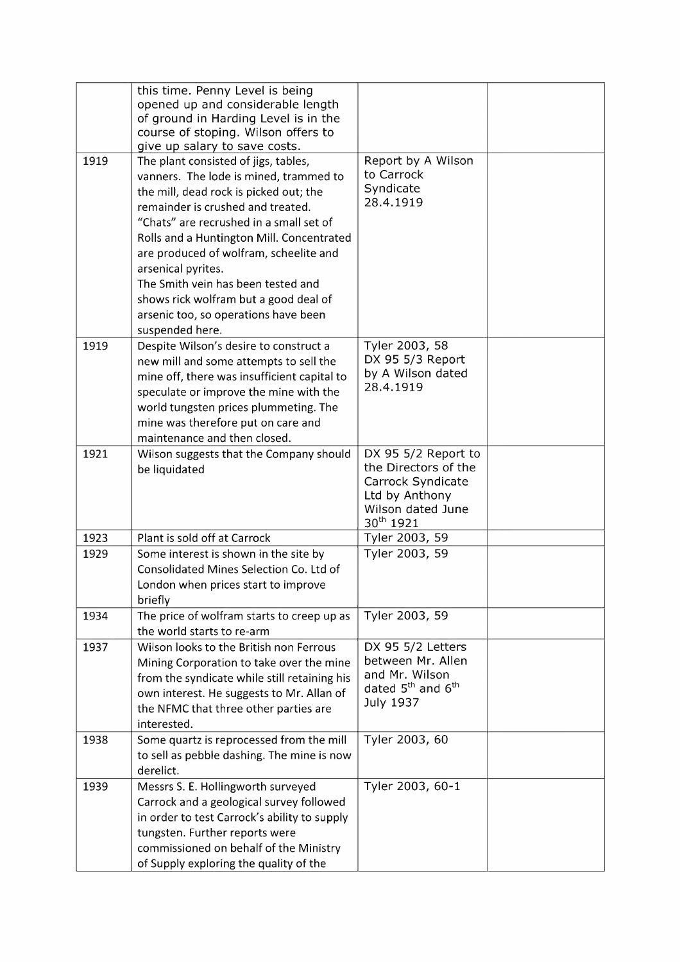| opened up and considerable length<br>of ground in Harding Level is in the<br>course of stoping. Wilson offers to<br>give up salary to save costs.<br>1919<br>Report by A Wilson<br>The plant consisted of jigs, tables,<br>to Carrock<br>vanners. The lode is mined, trammed to<br>Syndicate<br>the mill, dead rock is picked out; the<br>28.4.1919<br>remainder is crushed and treated.<br>"Chats" are recrushed in a small set of<br>Rolls and a Huntington Mill. Concentrated<br>are produced of wolfram, scheelite and<br>arsenical pyrites.<br>The Smith vein has been tested and<br>shows rick wolfram but a good deal of<br>arsenic too, so operations have been<br>suspended here.<br>1919<br>Tyler 2003, 58<br>Despite Wilson's desire to construct a<br>DX 95 5/3 Report<br>new mill and some attempts to sell the<br>by A Wilson dated<br>mine off, there was insufficient capital to<br>28.4.1919<br>speculate or improve the mine with the<br>world tungsten prices plummeting. The<br>mine was therefore put on care and<br>maintenance and then closed.<br>1921<br>DX 95 5/2 Report to<br>Wilson suggests that the Company should<br>the Directors of the<br>be liquidated<br>Carrock Syndicate<br>Ltd by Anthony<br>Wilson dated June<br>30 <sup>th</sup> 1921<br>Plant is sold off at Carrock<br>Tyler 2003, 59<br>1923<br>Tyler 2003, 59<br>1929<br>Some interest is shown in the site by<br><b>Consolidated Mines Selection Co. Ltd of</b><br>London when prices start to improve<br>briefly<br>Tyler 2003, 59<br>1934<br>The price of wolfram starts to creep up as<br>the world starts to re-arm<br>Wilson looks to the British non Ferrous<br>DX 95 5/2 Letters<br>1937<br>between Mr. Allen<br>Mining Corporation to take over the mine<br>and Mr. Wilson<br>from the syndicate while still retaining his<br>dated 5 <sup>th</sup> and 6 <sup>th</sup><br>own interest. He suggests to Mr. Allan of<br>July 1937<br>the NFMC that three other parties are<br>interested.<br>Tyler 2003, 60<br>Some quartz is reprocessed from the mill<br>1938<br>to sell as pebble dashing. The mine is now<br>derelict.<br>Tyler 2003, 60-1<br>1939<br>Messrs S. E. Hollingworth surveyed<br>Carrock and a geological survey followed<br>in order to test Carrock's ability to supply<br>tungsten. Further reports were<br>commissioned on behalf of the Ministry | this time. Penny Level is being        |  |
|----------------------------------------------------------------------------------------------------------------------------------------------------------------------------------------------------------------------------------------------------------------------------------------------------------------------------------------------------------------------------------------------------------------------------------------------------------------------------------------------------------------------------------------------------------------------------------------------------------------------------------------------------------------------------------------------------------------------------------------------------------------------------------------------------------------------------------------------------------------------------------------------------------------------------------------------------------------------------------------------------------------------------------------------------------------------------------------------------------------------------------------------------------------------------------------------------------------------------------------------------------------------------------------------------------------------------------------------------------------------------------------------------------------------------------------------------------------------------------------------------------------------------------------------------------------------------------------------------------------------------------------------------------------------------------------------------------------------------------------------------------------------------------------------------------------------------------------------------------------------------------------------------------------------------------------------------------------------------------------------------------------------------------------------------------------------------------------------------------------------------------------------------------------------------------------------------------------------------------------------------------------------------------------------------------------------------------------------------------------------------|----------------------------------------|--|
|                                                                                                                                                                                                                                                                                                                                                                                                                                                                                                                                                                                                                                                                                                                                                                                                                                                                                                                                                                                                                                                                                                                                                                                                                                                                                                                                                                                                                                                                                                                                                                                                                                                                                                                                                                                                                                                                                                                                                                                                                                                                                                                                                                                                                                                                                                                                                                            |                                        |  |
|                                                                                                                                                                                                                                                                                                                                                                                                                                                                                                                                                                                                                                                                                                                                                                                                                                                                                                                                                                                                                                                                                                                                                                                                                                                                                                                                                                                                                                                                                                                                                                                                                                                                                                                                                                                                                                                                                                                                                                                                                                                                                                                                                                                                                                                                                                                                                                            |                                        |  |
|                                                                                                                                                                                                                                                                                                                                                                                                                                                                                                                                                                                                                                                                                                                                                                                                                                                                                                                                                                                                                                                                                                                                                                                                                                                                                                                                                                                                                                                                                                                                                                                                                                                                                                                                                                                                                                                                                                                                                                                                                                                                                                                                                                                                                                                                                                                                                                            |                                        |  |
|                                                                                                                                                                                                                                                                                                                                                                                                                                                                                                                                                                                                                                                                                                                                                                                                                                                                                                                                                                                                                                                                                                                                                                                                                                                                                                                                                                                                                                                                                                                                                                                                                                                                                                                                                                                                                                                                                                                                                                                                                                                                                                                                                                                                                                                                                                                                                                            |                                        |  |
|                                                                                                                                                                                                                                                                                                                                                                                                                                                                                                                                                                                                                                                                                                                                                                                                                                                                                                                                                                                                                                                                                                                                                                                                                                                                                                                                                                                                                                                                                                                                                                                                                                                                                                                                                                                                                                                                                                                                                                                                                                                                                                                                                                                                                                                                                                                                                                            |                                        |  |
|                                                                                                                                                                                                                                                                                                                                                                                                                                                                                                                                                                                                                                                                                                                                                                                                                                                                                                                                                                                                                                                                                                                                                                                                                                                                                                                                                                                                                                                                                                                                                                                                                                                                                                                                                                                                                                                                                                                                                                                                                                                                                                                                                                                                                                                                                                                                                                            |                                        |  |
|                                                                                                                                                                                                                                                                                                                                                                                                                                                                                                                                                                                                                                                                                                                                                                                                                                                                                                                                                                                                                                                                                                                                                                                                                                                                                                                                                                                                                                                                                                                                                                                                                                                                                                                                                                                                                                                                                                                                                                                                                                                                                                                                                                                                                                                                                                                                                                            |                                        |  |
|                                                                                                                                                                                                                                                                                                                                                                                                                                                                                                                                                                                                                                                                                                                                                                                                                                                                                                                                                                                                                                                                                                                                                                                                                                                                                                                                                                                                                                                                                                                                                                                                                                                                                                                                                                                                                                                                                                                                                                                                                                                                                                                                                                                                                                                                                                                                                                            |                                        |  |
|                                                                                                                                                                                                                                                                                                                                                                                                                                                                                                                                                                                                                                                                                                                                                                                                                                                                                                                                                                                                                                                                                                                                                                                                                                                                                                                                                                                                                                                                                                                                                                                                                                                                                                                                                                                                                                                                                                                                                                                                                                                                                                                                                                                                                                                                                                                                                                            |                                        |  |
|                                                                                                                                                                                                                                                                                                                                                                                                                                                                                                                                                                                                                                                                                                                                                                                                                                                                                                                                                                                                                                                                                                                                                                                                                                                                                                                                                                                                                                                                                                                                                                                                                                                                                                                                                                                                                                                                                                                                                                                                                                                                                                                                                                                                                                                                                                                                                                            |                                        |  |
|                                                                                                                                                                                                                                                                                                                                                                                                                                                                                                                                                                                                                                                                                                                                                                                                                                                                                                                                                                                                                                                                                                                                                                                                                                                                                                                                                                                                                                                                                                                                                                                                                                                                                                                                                                                                                                                                                                                                                                                                                                                                                                                                                                                                                                                                                                                                                                            |                                        |  |
|                                                                                                                                                                                                                                                                                                                                                                                                                                                                                                                                                                                                                                                                                                                                                                                                                                                                                                                                                                                                                                                                                                                                                                                                                                                                                                                                                                                                                                                                                                                                                                                                                                                                                                                                                                                                                                                                                                                                                                                                                                                                                                                                                                                                                                                                                                                                                                            |                                        |  |
|                                                                                                                                                                                                                                                                                                                                                                                                                                                                                                                                                                                                                                                                                                                                                                                                                                                                                                                                                                                                                                                                                                                                                                                                                                                                                                                                                                                                                                                                                                                                                                                                                                                                                                                                                                                                                                                                                                                                                                                                                                                                                                                                                                                                                                                                                                                                                                            |                                        |  |
|                                                                                                                                                                                                                                                                                                                                                                                                                                                                                                                                                                                                                                                                                                                                                                                                                                                                                                                                                                                                                                                                                                                                                                                                                                                                                                                                                                                                                                                                                                                                                                                                                                                                                                                                                                                                                                                                                                                                                                                                                                                                                                                                                                                                                                                                                                                                                                            |                                        |  |
|                                                                                                                                                                                                                                                                                                                                                                                                                                                                                                                                                                                                                                                                                                                                                                                                                                                                                                                                                                                                                                                                                                                                                                                                                                                                                                                                                                                                                                                                                                                                                                                                                                                                                                                                                                                                                                                                                                                                                                                                                                                                                                                                                                                                                                                                                                                                                                            |                                        |  |
|                                                                                                                                                                                                                                                                                                                                                                                                                                                                                                                                                                                                                                                                                                                                                                                                                                                                                                                                                                                                                                                                                                                                                                                                                                                                                                                                                                                                                                                                                                                                                                                                                                                                                                                                                                                                                                                                                                                                                                                                                                                                                                                                                                                                                                                                                                                                                                            |                                        |  |
|                                                                                                                                                                                                                                                                                                                                                                                                                                                                                                                                                                                                                                                                                                                                                                                                                                                                                                                                                                                                                                                                                                                                                                                                                                                                                                                                                                                                                                                                                                                                                                                                                                                                                                                                                                                                                                                                                                                                                                                                                                                                                                                                                                                                                                                                                                                                                                            |                                        |  |
|                                                                                                                                                                                                                                                                                                                                                                                                                                                                                                                                                                                                                                                                                                                                                                                                                                                                                                                                                                                                                                                                                                                                                                                                                                                                                                                                                                                                                                                                                                                                                                                                                                                                                                                                                                                                                                                                                                                                                                                                                                                                                                                                                                                                                                                                                                                                                                            |                                        |  |
|                                                                                                                                                                                                                                                                                                                                                                                                                                                                                                                                                                                                                                                                                                                                                                                                                                                                                                                                                                                                                                                                                                                                                                                                                                                                                                                                                                                                                                                                                                                                                                                                                                                                                                                                                                                                                                                                                                                                                                                                                                                                                                                                                                                                                                                                                                                                                                            |                                        |  |
|                                                                                                                                                                                                                                                                                                                                                                                                                                                                                                                                                                                                                                                                                                                                                                                                                                                                                                                                                                                                                                                                                                                                                                                                                                                                                                                                                                                                                                                                                                                                                                                                                                                                                                                                                                                                                                                                                                                                                                                                                                                                                                                                                                                                                                                                                                                                                                            |                                        |  |
|                                                                                                                                                                                                                                                                                                                                                                                                                                                                                                                                                                                                                                                                                                                                                                                                                                                                                                                                                                                                                                                                                                                                                                                                                                                                                                                                                                                                                                                                                                                                                                                                                                                                                                                                                                                                                                                                                                                                                                                                                                                                                                                                                                                                                                                                                                                                                                            |                                        |  |
|                                                                                                                                                                                                                                                                                                                                                                                                                                                                                                                                                                                                                                                                                                                                                                                                                                                                                                                                                                                                                                                                                                                                                                                                                                                                                                                                                                                                                                                                                                                                                                                                                                                                                                                                                                                                                                                                                                                                                                                                                                                                                                                                                                                                                                                                                                                                                                            |                                        |  |
|                                                                                                                                                                                                                                                                                                                                                                                                                                                                                                                                                                                                                                                                                                                                                                                                                                                                                                                                                                                                                                                                                                                                                                                                                                                                                                                                                                                                                                                                                                                                                                                                                                                                                                                                                                                                                                                                                                                                                                                                                                                                                                                                                                                                                                                                                                                                                                            |                                        |  |
|                                                                                                                                                                                                                                                                                                                                                                                                                                                                                                                                                                                                                                                                                                                                                                                                                                                                                                                                                                                                                                                                                                                                                                                                                                                                                                                                                                                                                                                                                                                                                                                                                                                                                                                                                                                                                                                                                                                                                                                                                                                                                                                                                                                                                                                                                                                                                                            |                                        |  |
|                                                                                                                                                                                                                                                                                                                                                                                                                                                                                                                                                                                                                                                                                                                                                                                                                                                                                                                                                                                                                                                                                                                                                                                                                                                                                                                                                                                                                                                                                                                                                                                                                                                                                                                                                                                                                                                                                                                                                                                                                                                                                                                                                                                                                                                                                                                                                                            |                                        |  |
|                                                                                                                                                                                                                                                                                                                                                                                                                                                                                                                                                                                                                                                                                                                                                                                                                                                                                                                                                                                                                                                                                                                                                                                                                                                                                                                                                                                                                                                                                                                                                                                                                                                                                                                                                                                                                                                                                                                                                                                                                                                                                                                                                                                                                                                                                                                                                                            |                                        |  |
|                                                                                                                                                                                                                                                                                                                                                                                                                                                                                                                                                                                                                                                                                                                                                                                                                                                                                                                                                                                                                                                                                                                                                                                                                                                                                                                                                                                                                                                                                                                                                                                                                                                                                                                                                                                                                                                                                                                                                                                                                                                                                                                                                                                                                                                                                                                                                                            |                                        |  |
|                                                                                                                                                                                                                                                                                                                                                                                                                                                                                                                                                                                                                                                                                                                                                                                                                                                                                                                                                                                                                                                                                                                                                                                                                                                                                                                                                                                                                                                                                                                                                                                                                                                                                                                                                                                                                                                                                                                                                                                                                                                                                                                                                                                                                                                                                                                                                                            |                                        |  |
|                                                                                                                                                                                                                                                                                                                                                                                                                                                                                                                                                                                                                                                                                                                                                                                                                                                                                                                                                                                                                                                                                                                                                                                                                                                                                                                                                                                                                                                                                                                                                                                                                                                                                                                                                                                                                                                                                                                                                                                                                                                                                                                                                                                                                                                                                                                                                                            |                                        |  |
|                                                                                                                                                                                                                                                                                                                                                                                                                                                                                                                                                                                                                                                                                                                                                                                                                                                                                                                                                                                                                                                                                                                                                                                                                                                                                                                                                                                                                                                                                                                                                                                                                                                                                                                                                                                                                                                                                                                                                                                                                                                                                                                                                                                                                                                                                                                                                                            |                                        |  |
|                                                                                                                                                                                                                                                                                                                                                                                                                                                                                                                                                                                                                                                                                                                                                                                                                                                                                                                                                                                                                                                                                                                                                                                                                                                                                                                                                                                                                                                                                                                                                                                                                                                                                                                                                                                                                                                                                                                                                                                                                                                                                                                                                                                                                                                                                                                                                                            |                                        |  |
|                                                                                                                                                                                                                                                                                                                                                                                                                                                                                                                                                                                                                                                                                                                                                                                                                                                                                                                                                                                                                                                                                                                                                                                                                                                                                                                                                                                                                                                                                                                                                                                                                                                                                                                                                                                                                                                                                                                                                                                                                                                                                                                                                                                                                                                                                                                                                                            |                                        |  |
|                                                                                                                                                                                                                                                                                                                                                                                                                                                                                                                                                                                                                                                                                                                                                                                                                                                                                                                                                                                                                                                                                                                                                                                                                                                                                                                                                                                                                                                                                                                                                                                                                                                                                                                                                                                                                                                                                                                                                                                                                                                                                                                                                                                                                                                                                                                                                                            |                                        |  |
|                                                                                                                                                                                                                                                                                                                                                                                                                                                                                                                                                                                                                                                                                                                                                                                                                                                                                                                                                                                                                                                                                                                                                                                                                                                                                                                                                                                                                                                                                                                                                                                                                                                                                                                                                                                                                                                                                                                                                                                                                                                                                                                                                                                                                                                                                                                                                                            |                                        |  |
|                                                                                                                                                                                                                                                                                                                                                                                                                                                                                                                                                                                                                                                                                                                                                                                                                                                                                                                                                                                                                                                                                                                                                                                                                                                                                                                                                                                                                                                                                                                                                                                                                                                                                                                                                                                                                                                                                                                                                                                                                                                                                                                                                                                                                                                                                                                                                                            |                                        |  |
|                                                                                                                                                                                                                                                                                                                                                                                                                                                                                                                                                                                                                                                                                                                                                                                                                                                                                                                                                                                                                                                                                                                                                                                                                                                                                                                                                                                                                                                                                                                                                                                                                                                                                                                                                                                                                                                                                                                                                                                                                                                                                                                                                                                                                                                                                                                                                                            |                                        |  |
|                                                                                                                                                                                                                                                                                                                                                                                                                                                                                                                                                                                                                                                                                                                                                                                                                                                                                                                                                                                                                                                                                                                                                                                                                                                                                                                                                                                                                                                                                                                                                                                                                                                                                                                                                                                                                                                                                                                                                                                                                                                                                                                                                                                                                                                                                                                                                                            |                                        |  |
|                                                                                                                                                                                                                                                                                                                                                                                                                                                                                                                                                                                                                                                                                                                                                                                                                                                                                                                                                                                                                                                                                                                                                                                                                                                                                                                                                                                                                                                                                                                                                                                                                                                                                                                                                                                                                                                                                                                                                                                                                                                                                                                                                                                                                                                                                                                                                                            |                                        |  |
|                                                                                                                                                                                                                                                                                                                                                                                                                                                                                                                                                                                                                                                                                                                                                                                                                                                                                                                                                                                                                                                                                                                                                                                                                                                                                                                                                                                                                                                                                                                                                                                                                                                                                                                                                                                                                                                                                                                                                                                                                                                                                                                                                                                                                                                                                                                                                                            |                                        |  |
|                                                                                                                                                                                                                                                                                                                                                                                                                                                                                                                                                                                                                                                                                                                                                                                                                                                                                                                                                                                                                                                                                                                                                                                                                                                                                                                                                                                                                                                                                                                                                                                                                                                                                                                                                                                                                                                                                                                                                                                                                                                                                                                                                                                                                                                                                                                                                                            |                                        |  |
|                                                                                                                                                                                                                                                                                                                                                                                                                                                                                                                                                                                                                                                                                                                                                                                                                                                                                                                                                                                                                                                                                                                                                                                                                                                                                                                                                                                                                                                                                                                                                                                                                                                                                                                                                                                                                                                                                                                                                                                                                                                                                                                                                                                                                                                                                                                                                                            |                                        |  |
|                                                                                                                                                                                                                                                                                                                                                                                                                                                                                                                                                                                                                                                                                                                                                                                                                                                                                                                                                                                                                                                                                                                                                                                                                                                                                                                                                                                                                                                                                                                                                                                                                                                                                                                                                                                                                                                                                                                                                                                                                                                                                                                                                                                                                                                                                                                                                                            |                                        |  |
|                                                                                                                                                                                                                                                                                                                                                                                                                                                                                                                                                                                                                                                                                                                                                                                                                                                                                                                                                                                                                                                                                                                                                                                                                                                                                                                                                                                                                                                                                                                                                                                                                                                                                                                                                                                                                                                                                                                                                                                                                                                                                                                                                                                                                                                                                                                                                                            |                                        |  |
|                                                                                                                                                                                                                                                                                                                                                                                                                                                                                                                                                                                                                                                                                                                                                                                                                                                                                                                                                                                                                                                                                                                                                                                                                                                                                                                                                                                                                                                                                                                                                                                                                                                                                                                                                                                                                                                                                                                                                                                                                                                                                                                                                                                                                                                                                                                                                                            |                                        |  |
|                                                                                                                                                                                                                                                                                                                                                                                                                                                                                                                                                                                                                                                                                                                                                                                                                                                                                                                                                                                                                                                                                                                                                                                                                                                                                                                                                                                                                                                                                                                                                                                                                                                                                                                                                                                                                                                                                                                                                                                                                                                                                                                                                                                                                                                                                                                                                                            |                                        |  |
|                                                                                                                                                                                                                                                                                                                                                                                                                                                                                                                                                                                                                                                                                                                                                                                                                                                                                                                                                                                                                                                                                                                                                                                                                                                                                                                                                                                                                                                                                                                                                                                                                                                                                                                                                                                                                                                                                                                                                                                                                                                                                                                                                                                                                                                                                                                                                                            |                                        |  |
|                                                                                                                                                                                                                                                                                                                                                                                                                                                                                                                                                                                                                                                                                                                                                                                                                                                                                                                                                                                                                                                                                                                                                                                                                                                                                                                                                                                                                                                                                                                                                                                                                                                                                                                                                                                                                                                                                                                                                                                                                                                                                                                                                                                                                                                                                                                                                                            |                                        |  |
|                                                                                                                                                                                                                                                                                                                                                                                                                                                                                                                                                                                                                                                                                                                                                                                                                                                                                                                                                                                                                                                                                                                                                                                                                                                                                                                                                                                                                                                                                                                                                                                                                                                                                                                                                                                                                                                                                                                                                                                                                                                                                                                                                                                                                                                                                                                                                                            |                                        |  |
|                                                                                                                                                                                                                                                                                                                                                                                                                                                                                                                                                                                                                                                                                                                                                                                                                                                                                                                                                                                                                                                                                                                                                                                                                                                                                                                                                                                                                                                                                                                                                                                                                                                                                                                                                                                                                                                                                                                                                                                                                                                                                                                                                                                                                                                                                                                                                                            |                                        |  |
|                                                                                                                                                                                                                                                                                                                                                                                                                                                                                                                                                                                                                                                                                                                                                                                                                                                                                                                                                                                                                                                                                                                                                                                                                                                                                                                                                                                                                                                                                                                                                                                                                                                                                                                                                                                                                                                                                                                                                                                                                                                                                                                                                                                                                                                                                                                                                                            |                                        |  |
|                                                                                                                                                                                                                                                                                                                                                                                                                                                                                                                                                                                                                                                                                                                                                                                                                                                                                                                                                                                                                                                                                                                                                                                                                                                                                                                                                                                                                                                                                                                                                                                                                                                                                                                                                                                                                                                                                                                                                                                                                                                                                                                                                                                                                                                                                                                                                                            |                                        |  |
|                                                                                                                                                                                                                                                                                                                                                                                                                                                                                                                                                                                                                                                                                                                                                                                                                                                                                                                                                                                                                                                                                                                                                                                                                                                                                                                                                                                                                                                                                                                                                                                                                                                                                                                                                                                                                                                                                                                                                                                                                                                                                                                                                                                                                                                                                                                                                                            |                                        |  |
|                                                                                                                                                                                                                                                                                                                                                                                                                                                                                                                                                                                                                                                                                                                                                                                                                                                                                                                                                                                                                                                                                                                                                                                                                                                                                                                                                                                                                                                                                                                                                                                                                                                                                                                                                                                                                                                                                                                                                                                                                                                                                                                                                                                                                                                                                                                                                                            | of Supply exploring the quality of the |  |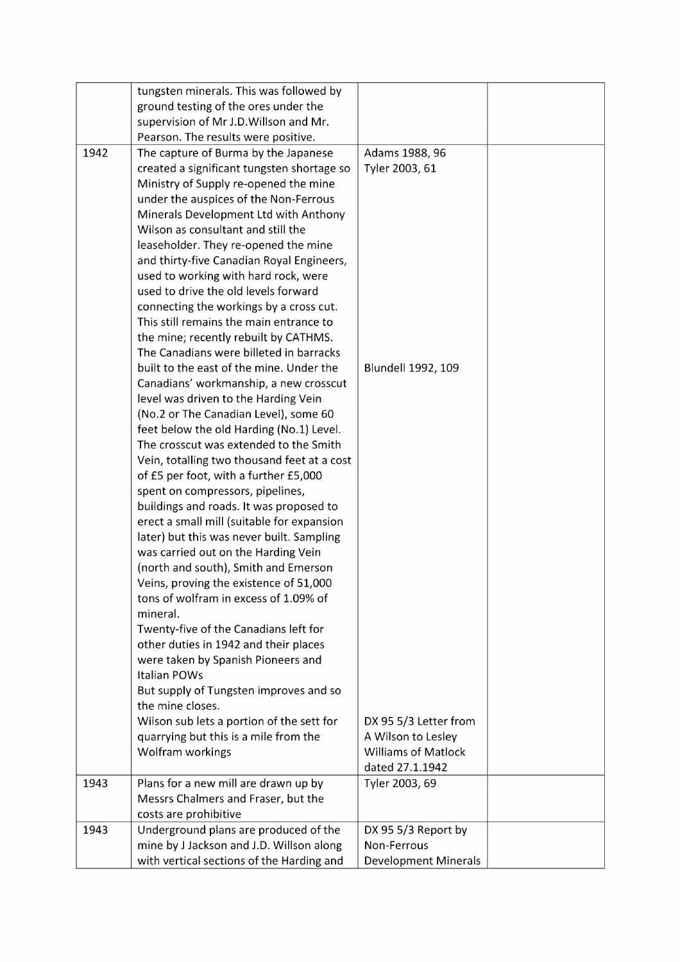|      | tungsten minerals. This was followed by     |                             |  |
|------|---------------------------------------------|-----------------------------|--|
|      | ground testing of the ores under the        |                             |  |
|      | supervision of Mr J.D. Willson and Mr.      |                             |  |
|      |                                             |                             |  |
|      | Pearson. The results were positive.         |                             |  |
| 1942 | The capture of Burma by the Japanese        | Adams 1988, 96              |  |
|      | created a significant tungsten shortage so  | Tyler 2003, 61              |  |
|      | Ministry of Supply re-opened the mine       |                             |  |
|      | under the auspices of the Non-Ferrous       |                             |  |
|      | Minerals Development Ltd with Anthony       |                             |  |
|      | Wilson as consultant and still the          |                             |  |
|      | leaseholder. They re-opened the mine        |                             |  |
|      | and thirty-five Canadian Royal Engineers,   |                             |  |
|      | used to working with hard rock, were        |                             |  |
|      | used to drive the old levels forward        |                             |  |
|      | connecting the workings by a cross cut.     |                             |  |
|      | This still remains the main entrance to     |                             |  |
|      | the mine; recently rebuilt by CATHMS.       |                             |  |
|      | The Canadians were billeted in barracks     |                             |  |
|      | built to the east of the mine. Under the    | Blundell 1992, 109          |  |
|      | Canadians' workmanship, a new crosscut      |                             |  |
|      | level was driven to the Harding Vein        |                             |  |
|      | (No.2 or The Canadian Level), some 60       |                             |  |
|      | feet below the old Harding (No.1) Level.    |                             |  |
|      | The crosscut was extended to the Smith      |                             |  |
|      | Vein, totalling two thousand feet at a cost |                             |  |
|      | of £5 per foot, with a further £5,000       |                             |  |
|      | spent on compressors, pipelines,            |                             |  |
|      | buildings and roads. It was proposed to     |                             |  |
|      | erect a small mill (suitable for expansion  |                             |  |
|      | later) but this was never built. Sampling   |                             |  |
|      |                                             |                             |  |
|      | was carried out on the Harding Vein         |                             |  |
|      | (north and south), Smith and Emerson        |                             |  |
|      | Veins, proving the existence of 51,000      |                             |  |
|      | tons of wolfram in excess of 1.09% of       |                             |  |
|      | mineral.                                    |                             |  |
|      | Twenty-five of the Canadians left for       |                             |  |
|      | other duties in 1942 and their places       |                             |  |
|      | were taken by Spanish Pioneers and          |                             |  |
|      | <b>Italian POWs</b>                         |                             |  |
|      | But supply of Tungsten improves and so      |                             |  |
|      | the mine closes.                            |                             |  |
|      | Wilson sub lets a portion of the sett for   | DX 95 5/3 Letter from       |  |
|      | quarrying but this is a mile from the       | A Wilson to Lesley          |  |
|      | Wolfram workings                            | <b>Williams of Matlock</b>  |  |
|      |                                             | dated 27.1.1942             |  |
| 1943 | Plans for a new mill are drawn up by        | Tyler 2003, 69              |  |
|      | Messrs Chalmers and Fraser, but the         |                             |  |
|      | costs are prohibitive                       |                             |  |
| 1943 | Underground plans are produced of the       | DX 95 5/3 Report by         |  |
|      | mine by J Jackson and J.D. Willson along    | Non-Ferrous                 |  |
|      | with vertical sections of the Harding and   | <b>Development Minerals</b> |  |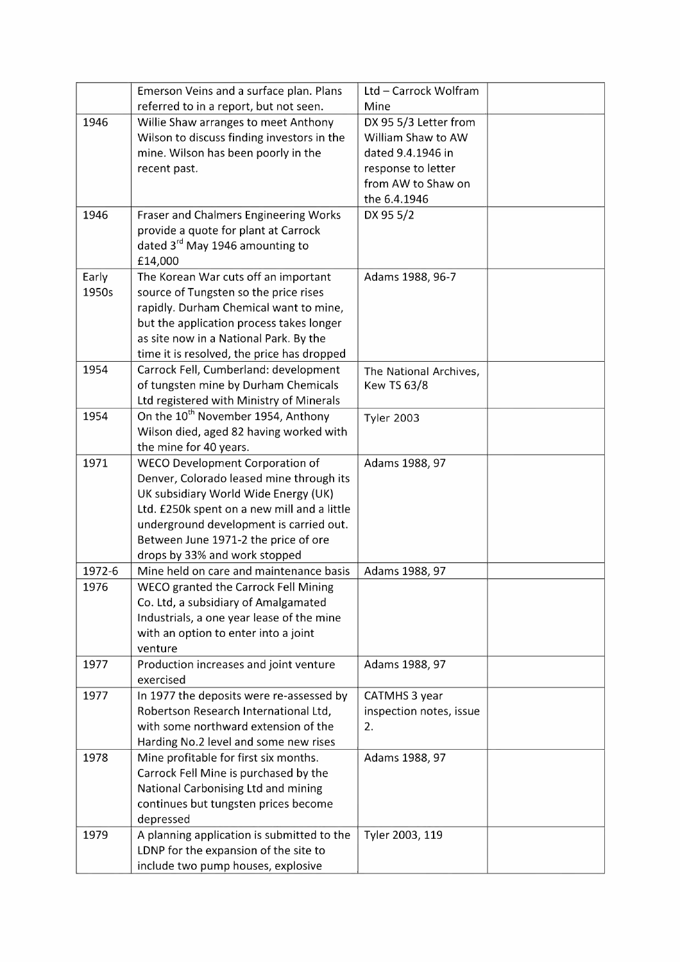|        | Emerson Veins and a surface plan. Plans        | Ltd - Carrock Wolfram   |  |
|--------|------------------------------------------------|-------------------------|--|
|        | referred to in a report, but not seen.         | Mine                    |  |
| 1946   | Willie Shaw arranges to meet Anthony           | DX 95 5/3 Letter from   |  |
|        | Wilson to discuss finding investors in the     | William Shaw to AW      |  |
|        | mine. Wilson has been poorly in the            | dated 9.4.1946 in       |  |
|        | recent past.                                   | response to letter      |  |
|        |                                                | from AW to Shaw on      |  |
|        |                                                | the 6.4.1946            |  |
| 1946   | <b>Fraser and Chalmers Engineering Works</b>   | DX 95 5/2               |  |
|        | provide a quote for plant at Carrock           |                         |  |
|        | dated 3 <sup>rd</sup> May 1946 amounting to    |                         |  |
|        | £14,000                                        |                         |  |
| Early  | The Korean War cuts off an important           | Adams 1988, 96-7        |  |
| 1950s  | source of Tungsten so the price rises          |                         |  |
|        | rapidly. Durham Chemical want to mine,         |                         |  |
|        | but the application process takes longer       |                         |  |
|        | as site now in a National Park. By the         |                         |  |
|        | time it is resolved, the price has dropped     |                         |  |
| 1954   | Carrock Fell, Cumberland: development          | The National Archives,  |  |
|        | of tungsten mine by Durham Chemicals           | <b>Kew TS 63/8</b>      |  |
|        | Ltd registered with Ministry of Minerals       |                         |  |
| 1954   | On the 10 <sup>th</sup> November 1954, Anthony | <b>Tyler 2003</b>       |  |
|        | Wilson died, aged 82 having worked with        |                         |  |
|        | the mine for 40 years.                         |                         |  |
| 1971   | WECO Development Corporation of                | Adams 1988, 97          |  |
|        | Denver, Colorado leased mine through its       |                         |  |
|        | UK subsidiary World Wide Energy (UK)           |                         |  |
|        | Ltd. £250k spent on a new mill and a little    |                         |  |
|        | underground development is carried out.        |                         |  |
|        | Between June 1971-2 the price of ore           |                         |  |
|        | drops by 33% and work stopped                  |                         |  |
| 1972-6 | Mine held on care and maintenance basis        | Adams 1988, 97          |  |
| 1976   | WECO granted the Carrock Fell Mining           |                         |  |
|        | Co. Ltd, a subsidiary of Amalgamated           |                         |  |
|        | Industrials, a one year lease of the mine      |                         |  |
|        | with an option to enter into a joint           |                         |  |
|        | venture                                        |                         |  |
| 1977   | Production increases and joint venture         | Adams 1988, 97          |  |
|        | exercised                                      |                         |  |
| 1977   | In 1977 the deposits were re-assessed by       | CATMHS 3 year           |  |
|        | Robertson Research International Ltd,          | inspection notes, issue |  |
|        | with some northward extension of the           | 2.                      |  |
|        | Harding No.2 level and some new rises          |                         |  |
| 1978   | Mine profitable for first six months.          | Adams 1988, 97          |  |
|        | Carrock Fell Mine is purchased by the          |                         |  |
|        | National Carbonising Ltd and mining            |                         |  |
|        | continues but tungsten prices become           |                         |  |
|        | depressed                                      |                         |  |
| 1979   | A planning application is submitted to the     | Tyler 2003, 119         |  |
|        | LDNP for the expansion of the site to          |                         |  |
|        | include two pump houses, explosive             |                         |  |